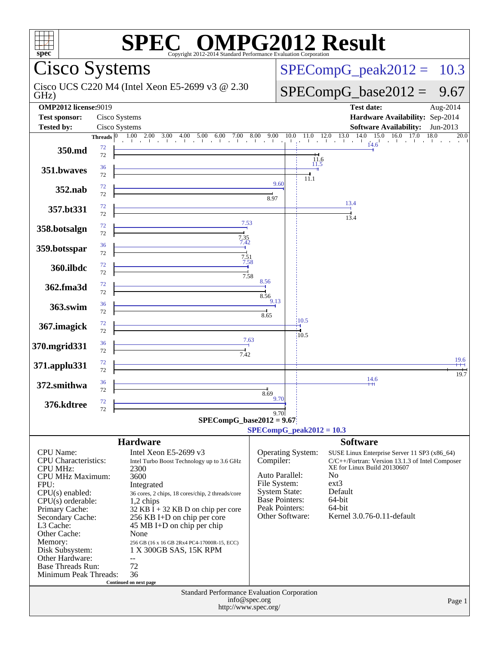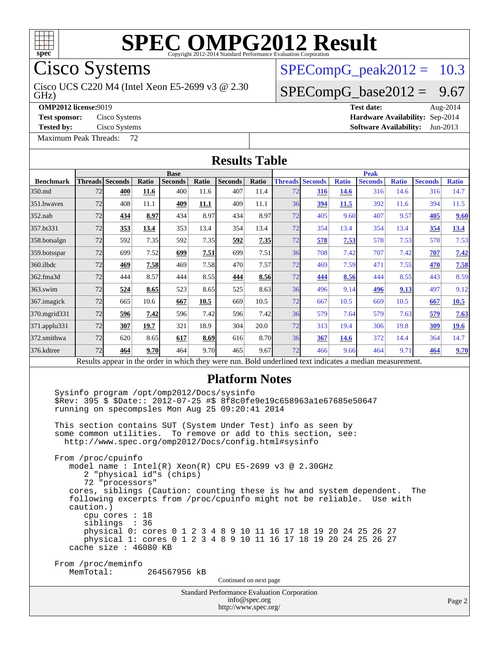

Cisco Systems

GHz) Cisco UCS C220 M4 (Intel Xeon E5-2699 v3 @ 2.30

 $SPECompG_peak2012 = 10.3$  $SPECompG_peak2012 = 10.3$ 

### $SPECompG_base2012 = 9.67$  $SPECompG_base2012 = 9.67$

**[OMP2012 license:](http://www.spec.org/auto/omp2012/Docs/result-fields.html#OMP2012license)**9019 **[Test date:](http://www.spec.org/auto/omp2012/Docs/result-fields.html#Testdate)** Aug-2014

**[Tested by:](http://www.spec.org/auto/omp2012/Docs/result-fields.html#Testedby)** Cisco Systems **[Software Availability:](http://www.spec.org/auto/omp2012/Docs/result-fields.html#SoftwareAvailability)** Jun-2013

[Maximum Peak Threads:](http://www.spec.org/auto/omp2012/Docs/result-fields.html#MaximumPeakThreads) 72

**[Test sponsor:](http://www.spec.org/auto/omp2012/Docs/result-fields.html#Testsponsor)** Cisco Systems **[Hardware Availability:](http://www.spec.org/auto/omp2012/Docs/result-fields.html#HardwareAvailability)** Sep-2014

|                  |                                                                                                                                                                                                                                                                                                                                                                                                                                                                                                                                                                                                                        |                                                      |       |                          |       | <b>Results Table</b>                                                                                                                                                           |               |    |                        |              |                |              |                |              |
|------------------|------------------------------------------------------------------------------------------------------------------------------------------------------------------------------------------------------------------------------------------------------------------------------------------------------------------------------------------------------------------------------------------------------------------------------------------------------------------------------------------------------------------------------------------------------------------------------------------------------------------------|------------------------------------------------------|-------|--------------------------|-------|--------------------------------------------------------------------------------------------------------------------------------------------------------------------------------|---------------|----|------------------------|--------------|----------------|--------------|----------------|--------------|
|                  |                                                                                                                                                                                                                                                                                                                                                                                                                                                                                                                                                                                                                        |                                                      |       | <b>Base</b>              |       |                                                                                                                                                                                |               |    |                        |              | <b>Peak</b>    |              |                |              |
| <b>Benchmark</b> | <b>Threads</b> Seconds                                                                                                                                                                                                                                                                                                                                                                                                                                                                                                                                                                                                 |                                                      | Ratio | Seconds                  | Ratio | <b>Seconds</b>                                                                                                                                                                 | Ratio         |    | <b>Threads Seconds</b> | <b>Ratio</b> | <b>Seconds</b> | <b>Ratio</b> | <b>Seconds</b> | <b>Ratio</b> |
| 350.md           | 72                                                                                                                                                                                                                                                                                                                                                                                                                                                                                                                                                                                                                     | 400                                                  | 11.6  | 400                      | 11.6  | 407                                                                                                                                                                            | 11.4          | 72 | 316                    | <b>14.6</b>  | 316            | 14.6         | 316            | 14.7         |
| 351.bwaves       | 72                                                                                                                                                                                                                                                                                                                                                                                                                                                                                                                                                                                                                     | 408                                                  | 11.1  | 409                      | 11.1  | 409                                                                                                                                                                            | 11.1          | 36 | 394                    | 11.5         | 392            | 11.6         | 394            | 11.5         |
| 352.nab          | 72                                                                                                                                                                                                                                                                                                                                                                                                                                                                                                                                                                                                                     | 434                                                  | 8.97  | 434                      | 8.97  | 434                                                                                                                                                                            | 8.97          | 72 | 405                    | 9.60         | 407            | 9.57         | 405            | 9.60         |
| 357.bt331        | 72                                                                                                                                                                                                                                                                                                                                                                                                                                                                                                                                                                                                                     | 353                                                  | 13.4  | 353                      | 13.4  | 354                                                                                                                                                                            | 13.4          | 72 | 354                    | 13.4         | 354            | 13.4         | 354            | <b>13.4</b>  |
| 358.botsalgn     | 72                                                                                                                                                                                                                                                                                                                                                                                                                                                                                                                                                                                                                     | 592                                                  | 7.35  | 592                      | 7.35  | 592                                                                                                                                                                            | 7.35          | 72 | 578                    | 7.53         | 578            | 7.53         | 578            | 7.53         |
| 359.botsspar     | 72                                                                                                                                                                                                                                                                                                                                                                                                                                                                                                                                                                                                                     | 699                                                  | 7.52  | 699                      | 7.51  | 699                                                                                                                                                                            | 7.51          | 36 | 708                    | 7.42         | 707            | 7.42         | 707            | 7.42         |
| 360.ilbdc        | 72                                                                                                                                                                                                                                                                                                                                                                                                                                                                                                                                                                                                                     | 469                                                  | 7.58  | 469                      | 7.58  | 470                                                                                                                                                                            | 7.57          | 72 | 469                    | 7.59         | 471            | 7.55         | 470            | 7.58         |
| 362.fma3d        | 72                                                                                                                                                                                                                                                                                                                                                                                                                                                                                                                                                                                                                     | 444                                                  | 8.57  | 444                      | 8.55  | 444                                                                                                                                                                            | 8.56          | 72 | 444                    | 8.56         | 444            | 8.55         | 443            | 8.59         |
| 363.swim         | 72                                                                                                                                                                                                                                                                                                                                                                                                                                                                                                                                                                                                                     | 524                                                  | 8.65  | 523                      | 8.65  | 525                                                                                                                                                                            | 8.63          | 36 | 496                    | 9.14         | 496            | 9.13         | 497            | 9.12         |
| 367.imagick      | 72                                                                                                                                                                                                                                                                                                                                                                                                                                                                                                                                                                                                                     | 665                                                  | 10.6  | 667                      | 10.5  | 669                                                                                                                                                                            | 10.5          | 72 | 667                    | 10.5         | 669            | 10.5         | 667            | 10.5         |
| 370.mgrid331     | 72                                                                                                                                                                                                                                                                                                                                                                                                                                                                                                                                                                                                                     | 596                                                  | 7.42  | 596                      | 7.42  | 596                                                                                                                                                                            | 7.42          | 36 | 579                    | 7.64         | 579            | 7.63         | 579            | 7.63         |
| 371.applu331     | 72                                                                                                                                                                                                                                                                                                                                                                                                                                                                                                                                                                                                                     | 307                                                  | 19.7  | 321                      | 18.9  | 304                                                                                                                                                                            | 20.0          | 72 | 313                    | 19.4         | 306            | 19.8         | 309            | <u>19.6</u>  |
| 372.smithwa      | 72                                                                                                                                                                                                                                                                                                                                                                                                                                                                                                                                                                                                                     | 620                                                  | 8.65  | 617                      | 8.69  | 616                                                                                                                                                                            | 8.70          | 36 | 367                    | <b>14.6</b>  | 372            | 14.4         | 364            | 14.7         |
| 376.kdtree       | 72                                                                                                                                                                                                                                                                                                                                                                                                                                                                                                                                                                                                                     | 464                                                  | 9.70  | 464                      | 9.70  | 465                                                                                                                                                                            | 9.67          | 72 | 466                    | 9.66         | 464            | 9.71         | 464            | 9.70         |
|                  |                                                                                                                                                                                                                                                                                                                                                                                                                                                                                                                                                                                                                        |                                                      |       |                          |       | Results appear in the order in which they were run. Bold underlined text indicates a median measurement.                                                                       |               |    |                        |              |                |              |                |              |
|                  | Sysinfo program /opt/omp2012/Docs/sysinfo<br>\$Rev: 395 \$ \$Date:: 2012-07-25 #\$ 8f8c0fe9e19c658963a1e67685e50647<br>running on specompsles Mon Aug 25 09:20:41 2014<br>This section contains SUT (System Under Test) info as seen by<br>some common utilities.<br>http://www.spec.org/omp2012/Docs/config.html#sysinfo<br>From /proc/cpuinfo<br>model name : Intel(R) Xeon(R) CPU E5-2699 v3 @ 2.30GHz<br>cores, siblings (Caution: counting these is hw and system dependent.<br>following excerpts from /proc/cpuinfo might not be reliable. Use with<br>caution.)<br>cache size : 46080 KB<br>From /proc/meminfo | 72 "processors"<br>$cpu$ cores : 18<br>siblings : 36 |       | 2 "physical id"s (chips) |       | To remove or add to this section, see:<br>physical 0: cores 0 1 2 3 4 8 9 10 11 16 17 18 19 20 24 25 26 27<br>physical 1: cores 0 1 2 3 4 8 9 10 11 16 17 18 19 20 24 25 26 27 |               |    |                        |              |                |              | The            |              |
|                  | MemTotal:                                                                                                                                                                                                                                                                                                                                                                                                                                                                                                                                                                                                              |                                                      |       | 264567956 kB             |       | Continued on next page                                                                                                                                                         |               |    |                        |              |                |              |                |              |
|                  |                                                                                                                                                                                                                                                                                                                                                                                                                                                                                                                                                                                                                        |                                                      |       |                          |       | <b>Standard Performance Evaluation Corporation</b><br>http://www.spec.org/                                                                                                     | info@spec.org |    |                        |              |                |              |                | Page 2       |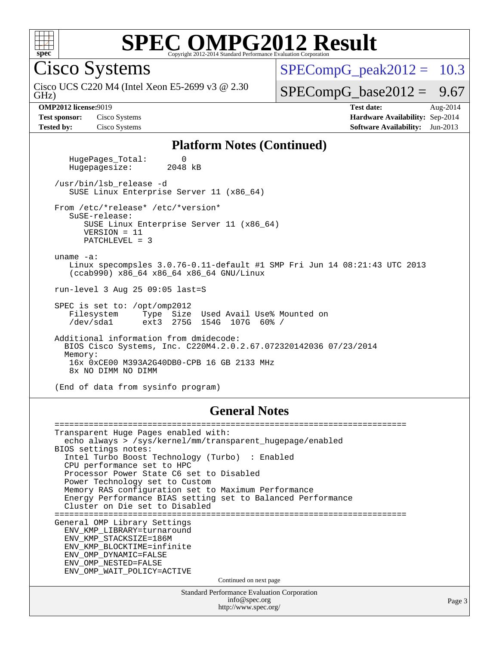

Cisco Systems

GHz) Cisco UCS C220 M4 (Intel Xeon E5-2699 v3 @ 2.30  $SPECompG<sub>peak2012</sub> = 10.3$ 

 $SPECompG_base2012 = 9.67$  $SPECompG_base2012 = 9.67$ 

**[OMP2012 license:](http://www.spec.org/auto/omp2012/Docs/result-fields.html#OMP2012license)**9019 **[Test date:](http://www.spec.org/auto/omp2012/Docs/result-fields.html#Testdate)** Aug-2014 **[Test sponsor:](http://www.spec.org/auto/omp2012/Docs/result-fields.html#Testsponsor)** Cisco Systems **[Hardware Availability:](http://www.spec.org/auto/omp2012/Docs/result-fields.html#HardwareAvailability)** Sep-2014 **[Tested by:](http://www.spec.org/auto/omp2012/Docs/result-fields.html#Testedby)** Cisco Systems **[Software Availability:](http://www.spec.org/auto/omp2012/Docs/result-fields.html#SoftwareAvailability)** Jun-2013

Page 3

#### **[Platform Notes \(Continued\)](http://www.spec.org/auto/omp2012/Docs/result-fields.html#PlatformNotes)**

HugePages\_Total: 0<br>Hugepagesize: 2048 kB Hugepagesize: /usr/bin/lsb\_release -d SUSE Linux Enterprise Server 11 (x86\_64) From /etc/\*release\* /etc/\*version\* SuSE-release: SUSE Linux Enterprise Server 11 (x86\_64) VERSION = 11 PATCHLEVEL = 3 uname -a: Linux specompsles 3.0.76-0.11-default #1 SMP Fri Jun 14 08:21:43 UTC 2013 (ccab990) x86\_64 x86\_64 x86\_64 GNU/Linux run-level 3 Aug 25 09:05 last=S SPEC is set to: /opt/omp2012<br>Filesystem Type Size Filesystem Type Size Used Avail Use% Mounted on /dev/sda1 ext3 275G 154G 107G 60% / Additional information from dmidecode: BIOS Cisco Systems, Inc. C220M4.2.0.2.67.072320142036 07/23/2014 Memory: 16x 0xCE00 M393A2G40DB0-CPB 16 GB 2133 MHz 8x NO DIMM NO DIMM (End of data from sysinfo program)

#### **[General Notes](http://www.spec.org/auto/omp2012/Docs/result-fields.html#GeneralNotes)**

Standard Performance Evaluation Corporation [info@spec.org](mailto:info@spec.org) <http://www.spec.org/> ======================================================================== Transparent Huge Pages enabled with: echo always > /sys/kernel/mm/transparent\_hugepage/enabled BIOS settings notes: Intel Turbo Boost Technology (Turbo) : Enabled CPU performance set to HPC Processor Power State C6 set to Disabled Power Technology set to Custom Memory RAS configuration set to Maximum Performance Energy Performance BIAS setting set to Balanced Performance Cluster on Die set to Disabled ======================================================================== General OMP Library Settings ENV\_KMP\_LIBRARY=turnaround ENV\_KMP\_STACKSIZE=186M ENV\_KMP\_BLOCKTIME=infinite ENV\_OMP\_DYNAMIC=FALSE ENV\_OMP\_NESTED=FALSE ENV\_OMP\_WAIT\_POLICY=ACTIVE Continued on next page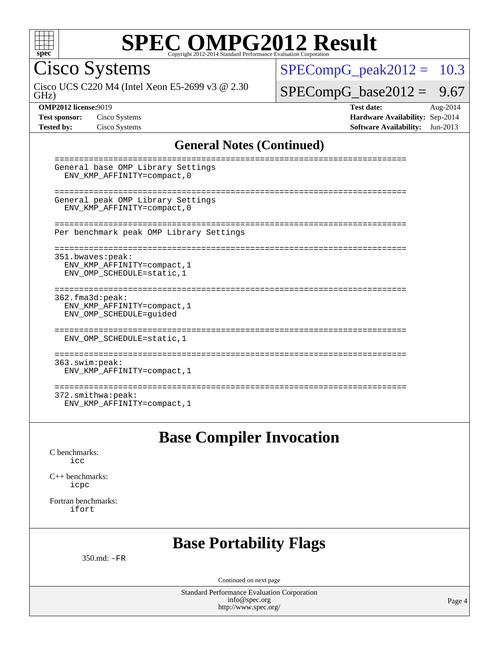

Cisco Systems

GHz) Cisco UCS C220 M4 (Intel Xeon E5-2699 v3 @ 2.30  $SPECompG_peak2012 = 10.3$  $SPECompG_peak2012 = 10.3$ 

#### $SPECompG_base2012 = 9.67$  $SPECompG_base2012 = 9.67$

**[OMP2012 license:](http://www.spec.org/auto/omp2012/Docs/result-fields.html#OMP2012license)**9019 **[Test date:](http://www.spec.org/auto/omp2012/Docs/result-fields.html#Testdate)** Aug-2014 **[Test sponsor:](http://www.spec.org/auto/omp2012/Docs/result-fields.html#Testsponsor)** Cisco Systems **[Hardware Availability:](http://www.spec.org/auto/omp2012/Docs/result-fields.html#HardwareAvailability)** Sep-2014 **[Tested by:](http://www.spec.org/auto/omp2012/Docs/result-fields.html#Testedby)** Cisco Systems **[Software Availability:](http://www.spec.org/auto/omp2012/Docs/result-fields.html#SoftwareAvailability)** Jun-2013

#### **[General Notes \(Continued\)](http://www.spec.org/auto/omp2012/Docs/result-fields.html#GeneralNotes)**

| General base OMP Library Settings<br>ENV KMP AFFINITY=compact, 0                 |
|----------------------------------------------------------------------------------|
| General peak OMP Library Settings<br>ENV KMP AFFINITY=compact, 0                 |
| Per benchmark peak OMP Library Settings                                          |
| 351.bwaves:peak:<br>ENV KMP AFFINITY=compact, 1<br>ENV OMP SCHEDULE=static, 1    |
| $362.f$ ma $3d:$ peak:<br>ENV_KMP_AFFINITY=compact, 1<br>ENV_OMP_SCHEDULE=guided |
| ENV OMP SCHEDULE=static, 1                                                       |
| 363.swim:peak:<br>ENV KMP AFFINITY=compact, 1                                    |
| ---------------<br>$372.\text{smithwa:peak}:$                                    |

### **[Base Compiler Invocation](http://www.spec.org/auto/omp2012/Docs/result-fields.html#BaseCompilerInvocation)**

[C benchmarks](http://www.spec.org/auto/omp2012/Docs/result-fields.html#Cbenchmarks): [icc](http://www.spec.org/omp2012/results/res2014q3/omp2012-20140902-00059.flags.html#user_CCbase_intel_icc_a87c68a857bc5ec5362391a49d3a37a6)

[C++ benchmarks:](http://www.spec.org/auto/omp2012/Docs/result-fields.html#CXXbenchmarks) [icpc](http://www.spec.org/omp2012/results/res2014q3/omp2012-20140902-00059.flags.html#user_CXXbase_intel_icpc_2d899f8d163502b12eb4a60069f80c1c)

[Fortran benchmarks](http://www.spec.org/auto/omp2012/Docs/result-fields.html#Fortranbenchmarks): [ifort](http://www.spec.org/omp2012/results/res2014q3/omp2012-20140902-00059.flags.html#user_FCbase_intel_ifort_8a5e5e06b19a251bdeaf8fdab5d62f20)

#### **[Base Portability Flags](http://www.spec.org/auto/omp2012/Docs/result-fields.html#BasePortabilityFlags)**

350.md: [-FR](http://www.spec.org/omp2012/results/res2014q3/omp2012-20140902-00059.flags.html#user_baseFPORTABILITY350_md_f-FR)

Continued on next page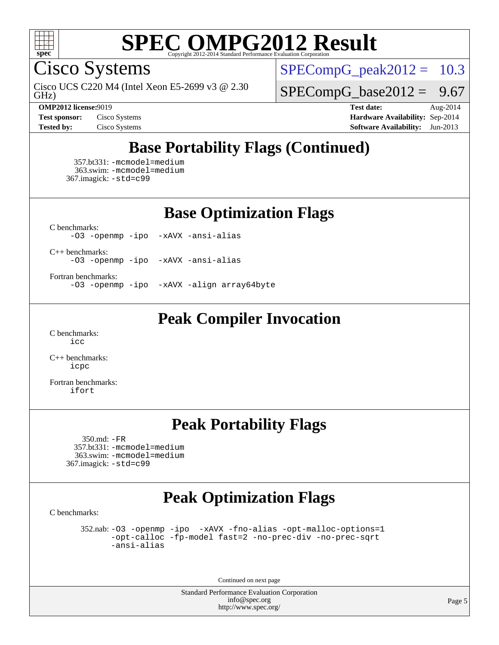

Cisco Systems

GHz) Cisco UCS C220 M4 (Intel Xeon E5-2699 v3 @ 2.30  $SPECompG_peak2012 = 10.3$  $SPECompG_peak2012 = 10.3$ 

 $SPECompG_base2012 = 9.67$  $SPECompG_base2012 = 9.67$ 

**[OMP2012 license:](http://www.spec.org/auto/omp2012/Docs/result-fields.html#OMP2012license)**9019 **[Test date:](http://www.spec.org/auto/omp2012/Docs/result-fields.html#Testdate)** Aug-2014 **[Test sponsor:](http://www.spec.org/auto/omp2012/Docs/result-fields.html#Testsponsor)** Cisco Systems **[Hardware Availability:](http://www.spec.org/auto/omp2012/Docs/result-fields.html#HardwareAvailability)** Sep-2014 **[Tested by:](http://www.spec.org/auto/omp2012/Docs/result-fields.html#Testedby)** Cisco Systems **[Software Availability:](http://www.spec.org/auto/omp2012/Docs/result-fields.html#SoftwareAvailability)** Jun-2013

## **[Base Portability Flags \(Continued\)](http://www.spec.org/auto/omp2012/Docs/result-fields.html#BasePortabilityFlags)**

 357.bt331: [-mcmodel=medium](http://www.spec.org/omp2012/results/res2014q3/omp2012-20140902-00059.flags.html#user_basePORTABILITY357_bt331_f-mcmodel_3a41622424bdd074c4f0f2d2f224c7e5) 363.swim: [-mcmodel=medium](http://www.spec.org/omp2012/results/res2014q3/omp2012-20140902-00059.flags.html#user_basePORTABILITY363_swim_f-mcmodel_3a41622424bdd074c4f0f2d2f224c7e5) 367.imagick: [-std=c99](http://www.spec.org/omp2012/results/res2014q3/omp2012-20140902-00059.flags.html#user_baseCPORTABILITY367_imagick_f-std_2ec6533b6e06f1c4a6c9b78d9e9cde24)

**[Base Optimization Flags](http://www.spec.org/auto/omp2012/Docs/result-fields.html#BaseOptimizationFlags)**

[C benchmarks](http://www.spec.org/auto/omp2012/Docs/result-fields.html#Cbenchmarks): [-O3](http://www.spec.org/omp2012/results/res2014q3/omp2012-20140902-00059.flags.html#user_CCbase_f-O3) [-openmp](http://www.spec.org/omp2012/results/res2014q3/omp2012-20140902-00059.flags.html#user_CCbase_f-openmp) [-ipo](http://www.spec.org/omp2012/results/res2014q3/omp2012-20140902-00059.flags.html#user_CCbase_f-ipo_84062ab53814f613187d02344b8f49a7) [-xAVX](http://www.spec.org/omp2012/results/res2014q3/omp2012-20140902-00059.flags.html#user_CCbase_f-xAVX) [-ansi-alias](http://www.spec.org/omp2012/results/res2014q3/omp2012-20140902-00059.flags.html#user_CCbase_f-ansi-alias)

[C++ benchmarks:](http://www.spec.org/auto/omp2012/Docs/result-fields.html#CXXbenchmarks) [-O3](http://www.spec.org/omp2012/results/res2014q3/omp2012-20140902-00059.flags.html#user_CXXbase_f-O3) [-openmp](http://www.spec.org/omp2012/results/res2014q3/omp2012-20140902-00059.flags.html#user_CXXbase_f-openmp) [-ipo](http://www.spec.org/omp2012/results/res2014q3/omp2012-20140902-00059.flags.html#user_CXXbase_f-ipo_84062ab53814f613187d02344b8f49a7) [-xAVX](http://www.spec.org/omp2012/results/res2014q3/omp2012-20140902-00059.flags.html#user_CXXbase_f-xAVX) [-ansi-alias](http://www.spec.org/omp2012/results/res2014q3/omp2012-20140902-00059.flags.html#user_CXXbase_f-ansi-alias)

[Fortran benchmarks](http://www.spec.org/auto/omp2012/Docs/result-fields.html#Fortranbenchmarks):

[-O3](http://www.spec.org/omp2012/results/res2014q3/omp2012-20140902-00059.flags.html#user_FCbase_f-O3) [-openmp](http://www.spec.org/omp2012/results/res2014q3/omp2012-20140902-00059.flags.html#user_FCbase_f-openmp) [-ipo](http://www.spec.org/omp2012/results/res2014q3/omp2012-20140902-00059.flags.html#user_FCbase_f-ipo_84062ab53814f613187d02344b8f49a7) [-xAVX](http://www.spec.org/omp2012/results/res2014q3/omp2012-20140902-00059.flags.html#user_FCbase_f-xAVX) [-align array64byte](http://www.spec.org/omp2012/results/res2014q3/omp2012-20140902-00059.flags.html#user_FCbase_f-align_c9377f996e966d652baaf753401d4725)

### **[Peak Compiler Invocation](http://www.spec.org/auto/omp2012/Docs/result-fields.html#PeakCompilerInvocation)**

[C benchmarks](http://www.spec.org/auto/omp2012/Docs/result-fields.html#Cbenchmarks): [icc](http://www.spec.org/omp2012/results/res2014q3/omp2012-20140902-00059.flags.html#user_CCpeak_intel_icc_a87c68a857bc5ec5362391a49d3a37a6)

[C++ benchmarks:](http://www.spec.org/auto/omp2012/Docs/result-fields.html#CXXbenchmarks) [icpc](http://www.spec.org/omp2012/results/res2014q3/omp2012-20140902-00059.flags.html#user_CXXpeak_intel_icpc_2d899f8d163502b12eb4a60069f80c1c)

[Fortran benchmarks](http://www.spec.org/auto/omp2012/Docs/result-fields.html#Fortranbenchmarks): [ifort](http://www.spec.org/omp2012/results/res2014q3/omp2012-20140902-00059.flags.html#user_FCpeak_intel_ifort_8a5e5e06b19a251bdeaf8fdab5d62f20)

### **[Peak Portability Flags](http://www.spec.org/auto/omp2012/Docs/result-fields.html#PeakPortabilityFlags)**

 350.md: [-FR](http://www.spec.org/omp2012/results/res2014q3/omp2012-20140902-00059.flags.html#user_peakFPORTABILITY350_md_f-FR) 357.bt331: [-mcmodel=medium](http://www.spec.org/omp2012/results/res2014q3/omp2012-20140902-00059.flags.html#user_peakPORTABILITY357_bt331_f-mcmodel_3a41622424bdd074c4f0f2d2f224c7e5) 363.swim: [-mcmodel=medium](http://www.spec.org/omp2012/results/res2014q3/omp2012-20140902-00059.flags.html#user_peakPORTABILITY363_swim_f-mcmodel_3a41622424bdd074c4f0f2d2f224c7e5) 367.imagick: [-std=c99](http://www.spec.org/omp2012/results/res2014q3/omp2012-20140902-00059.flags.html#user_peakCPORTABILITY367_imagick_f-std_2ec6533b6e06f1c4a6c9b78d9e9cde24)

## **[Peak Optimization Flags](http://www.spec.org/auto/omp2012/Docs/result-fields.html#PeakOptimizationFlags)**

[C benchmarks](http://www.spec.org/auto/omp2012/Docs/result-fields.html#Cbenchmarks):

 352.nab: [-O3](http://www.spec.org/omp2012/results/res2014q3/omp2012-20140902-00059.flags.html#user_peakOPTIMIZE352_nab_f-O3) [-openmp](http://www.spec.org/omp2012/results/res2014q3/omp2012-20140902-00059.flags.html#user_peakOPTIMIZE352_nab_f-openmp) [-ipo](http://www.spec.org/omp2012/results/res2014q3/omp2012-20140902-00059.flags.html#user_peakOPTIMIZE352_nab_f-ipo_84062ab53814f613187d02344b8f49a7) [-xAVX](http://www.spec.org/omp2012/results/res2014q3/omp2012-20140902-00059.flags.html#user_peakOPTIMIZE352_nab_f-xAVX) [-fno-alias](http://www.spec.org/omp2012/results/res2014q3/omp2012-20140902-00059.flags.html#user_peakOPTIMIZE352_nab_f-no-alias_694e77f6c5a51e658e82ccff53a9e63a) [-opt-malloc-options=1](http://www.spec.org/omp2012/results/res2014q3/omp2012-20140902-00059.flags.html#user_peakOPTIMIZE352_nab_f-opt-malloc-options_d882ffc6ff87e51efe45f9a5190004b0) [-opt-calloc](http://www.spec.org/omp2012/results/res2014q3/omp2012-20140902-00059.flags.html#user_peakOPTIMIZE352_nab_f-opt-calloc) [-fp-model fast=2](http://www.spec.org/omp2012/results/res2014q3/omp2012-20140902-00059.flags.html#user_peakOPTIMIZE352_nab_f-fp-model_a7fb8ccb7275e23f0079632c153cfcab) [-no-prec-div](http://www.spec.org/omp2012/results/res2014q3/omp2012-20140902-00059.flags.html#user_peakOPTIMIZE352_nab_f-no-prec-div) [-no-prec-sqrt](http://www.spec.org/omp2012/results/res2014q3/omp2012-20140902-00059.flags.html#user_peakOPTIMIZE352_nab_f-no-prec-sqrt) [-ansi-alias](http://www.spec.org/omp2012/results/res2014q3/omp2012-20140902-00059.flags.html#user_peakCOPTIMIZE352_nab_f-ansi-alias)

Continued on next page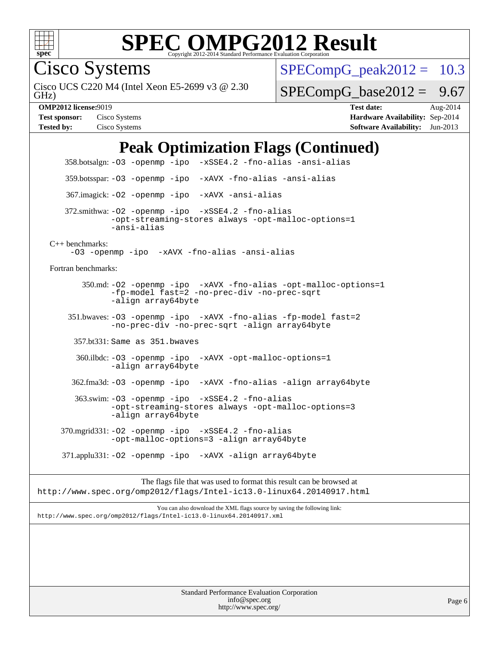

Cisco Systems

GHz) Cisco UCS C220 M4 (Intel Xeon E5-2699 v3 @ 2.30  $SPECompG<sub>peak2012</sub> = 10.3$ 

 $SPECompG_base2012 = 9.67$  $SPECompG_base2012 = 9.67$ 

**[OMP2012 license:](http://www.spec.org/auto/omp2012/Docs/result-fields.html#OMP2012license)**9019 **[Test date:](http://www.spec.org/auto/omp2012/Docs/result-fields.html#Testdate)** Aug-2014 **[Test sponsor:](http://www.spec.org/auto/omp2012/Docs/result-fields.html#Testsponsor)** Cisco Systems **[Hardware Availability:](http://www.spec.org/auto/omp2012/Docs/result-fields.html#HardwareAvailability)** Sep-2014 **[Tested by:](http://www.spec.org/auto/omp2012/Docs/result-fields.html#Testedby)** Cisco Systems **[Software Availability:](http://www.spec.org/auto/omp2012/Docs/result-fields.html#SoftwareAvailability)** Jun-2013

## **[Peak Optimization Flags \(Continued\)](http://www.spec.org/auto/omp2012/Docs/result-fields.html#PeakOptimizationFlags)**

 358.botsalgn: [-O3](http://www.spec.org/omp2012/results/res2014q3/omp2012-20140902-00059.flags.html#user_peakOPTIMIZE358_botsalgn_f-O3) [-openmp](http://www.spec.org/omp2012/results/res2014q3/omp2012-20140902-00059.flags.html#user_peakOPTIMIZE358_botsalgn_f-openmp) [-ipo](http://www.spec.org/omp2012/results/res2014q3/omp2012-20140902-00059.flags.html#user_peakOPTIMIZE358_botsalgn_f-ipo_84062ab53814f613187d02344b8f49a7) [-xSSE4.2](http://www.spec.org/omp2012/results/res2014q3/omp2012-20140902-00059.flags.html#user_peakOPTIMIZE358_botsalgn_f-xSSE42_f91528193cf0b216347adb8b939d4107) [-fno-alias](http://www.spec.org/omp2012/results/res2014q3/omp2012-20140902-00059.flags.html#user_peakOPTIMIZE358_botsalgn_f-no-alias_694e77f6c5a51e658e82ccff53a9e63a) [-ansi-alias](http://www.spec.org/omp2012/results/res2014q3/omp2012-20140902-00059.flags.html#user_peakCOPTIMIZE358_botsalgn_f-ansi-alias) 359.botsspar: [-O3](http://www.spec.org/omp2012/results/res2014q3/omp2012-20140902-00059.flags.html#user_peakOPTIMIZE359_botsspar_f-O3) [-openmp](http://www.spec.org/omp2012/results/res2014q3/omp2012-20140902-00059.flags.html#user_peakOPTIMIZE359_botsspar_f-openmp) [-ipo](http://www.spec.org/omp2012/results/res2014q3/omp2012-20140902-00059.flags.html#user_peakOPTIMIZE359_botsspar_f-ipo_84062ab53814f613187d02344b8f49a7) [-xAVX](http://www.spec.org/omp2012/results/res2014q3/omp2012-20140902-00059.flags.html#user_peakOPTIMIZE359_botsspar_f-xAVX) [-fno-alias](http://www.spec.org/omp2012/results/res2014q3/omp2012-20140902-00059.flags.html#user_peakOPTIMIZE359_botsspar_f-no-alias_694e77f6c5a51e658e82ccff53a9e63a) [-ansi-alias](http://www.spec.org/omp2012/results/res2014q3/omp2012-20140902-00059.flags.html#user_peakCOPTIMIZE359_botsspar_f-ansi-alias) 367.imagick: [-O2](http://www.spec.org/omp2012/results/res2014q3/omp2012-20140902-00059.flags.html#user_peakOPTIMIZE367_imagick_f-O2) [-openmp](http://www.spec.org/omp2012/results/res2014q3/omp2012-20140902-00059.flags.html#user_peakOPTIMIZE367_imagick_f-openmp) [-ipo](http://www.spec.org/omp2012/results/res2014q3/omp2012-20140902-00059.flags.html#user_peakOPTIMIZE367_imagick_f-ipo_84062ab53814f613187d02344b8f49a7) [-xAVX](http://www.spec.org/omp2012/results/res2014q3/omp2012-20140902-00059.flags.html#user_peakOPTIMIZE367_imagick_f-xAVX) [-ansi-alias](http://www.spec.org/omp2012/results/res2014q3/omp2012-20140902-00059.flags.html#user_peakCOPTIMIZE367_imagick_f-ansi-alias) 372.smithwa: [-O2](http://www.spec.org/omp2012/results/res2014q3/omp2012-20140902-00059.flags.html#user_peakOPTIMIZE372_smithwa_f-O2) [-openmp](http://www.spec.org/omp2012/results/res2014q3/omp2012-20140902-00059.flags.html#user_peakOPTIMIZE372_smithwa_f-openmp) [-ipo](http://www.spec.org/omp2012/results/res2014q3/omp2012-20140902-00059.flags.html#user_peakOPTIMIZE372_smithwa_f-ipo_84062ab53814f613187d02344b8f49a7) [-xSSE4.2](http://www.spec.org/omp2012/results/res2014q3/omp2012-20140902-00059.flags.html#user_peakOPTIMIZE372_smithwa_f-xSSE42_f91528193cf0b216347adb8b939d4107) [-fno-alias](http://www.spec.org/omp2012/results/res2014q3/omp2012-20140902-00059.flags.html#user_peakOPTIMIZE372_smithwa_f-no-alias_694e77f6c5a51e658e82ccff53a9e63a) [-opt-streaming-stores always](http://www.spec.org/omp2012/results/res2014q3/omp2012-20140902-00059.flags.html#user_peakOPTIMIZE372_smithwa_f-opt-streaming-stores-always_66f55dbc532842151ebc4c82f4f5b019) [-opt-malloc-options=1](http://www.spec.org/omp2012/results/res2014q3/omp2012-20140902-00059.flags.html#user_peakOPTIMIZE372_smithwa_f-opt-malloc-options_d882ffc6ff87e51efe45f9a5190004b0) [-ansi-alias](http://www.spec.org/omp2012/results/res2014q3/omp2012-20140902-00059.flags.html#user_peakCOPTIMIZE372_smithwa_f-ansi-alias) [C++ benchmarks:](http://www.spec.org/auto/omp2012/Docs/result-fields.html#CXXbenchmarks) [-O3](http://www.spec.org/omp2012/results/res2014q3/omp2012-20140902-00059.flags.html#user_CXXpeak_f-O3) [-openmp](http://www.spec.org/omp2012/results/res2014q3/omp2012-20140902-00059.flags.html#user_CXXpeak_f-openmp) [-ipo](http://www.spec.org/omp2012/results/res2014q3/omp2012-20140902-00059.flags.html#user_CXXpeak_f-ipo_84062ab53814f613187d02344b8f49a7) [-xAVX](http://www.spec.org/omp2012/results/res2014q3/omp2012-20140902-00059.flags.html#user_CXXpeak_f-xAVX) [-fno-alias](http://www.spec.org/omp2012/results/res2014q3/omp2012-20140902-00059.flags.html#user_CXXpeak_f-no-alias_694e77f6c5a51e658e82ccff53a9e63a) [-ansi-alias](http://www.spec.org/omp2012/results/res2014q3/omp2012-20140902-00059.flags.html#user_CXXpeak_f-ansi-alias) [Fortran benchmarks](http://www.spec.org/auto/omp2012/Docs/result-fields.html#Fortranbenchmarks): 350.md: [-O2](http://www.spec.org/omp2012/results/res2014q3/omp2012-20140902-00059.flags.html#user_peakOPTIMIZE350_md_f-O2) [-openmp](http://www.spec.org/omp2012/results/res2014q3/omp2012-20140902-00059.flags.html#user_peakOPTIMIZE350_md_f-openmp) [-ipo](http://www.spec.org/omp2012/results/res2014q3/omp2012-20140902-00059.flags.html#user_peakOPTIMIZE350_md_f-ipo_84062ab53814f613187d02344b8f49a7) [-xAVX](http://www.spec.org/omp2012/results/res2014q3/omp2012-20140902-00059.flags.html#user_peakOPTIMIZE350_md_f-xAVX) [-fno-alias](http://www.spec.org/omp2012/results/res2014q3/omp2012-20140902-00059.flags.html#user_peakOPTIMIZE350_md_f-no-alias_694e77f6c5a51e658e82ccff53a9e63a) [-opt-malloc-options=1](http://www.spec.org/omp2012/results/res2014q3/omp2012-20140902-00059.flags.html#user_peakOPTIMIZE350_md_f-opt-malloc-options_d882ffc6ff87e51efe45f9a5190004b0) [-fp-model fast=2](http://www.spec.org/omp2012/results/res2014q3/omp2012-20140902-00059.flags.html#user_peakFOPTIMIZE350_md_f-fp-model_a7fb8ccb7275e23f0079632c153cfcab) [-no-prec-div](http://www.spec.org/omp2012/results/res2014q3/omp2012-20140902-00059.flags.html#user_peakFOPTIMIZE350_md_f-no-prec-div) [-no-prec-sqrt](http://www.spec.org/omp2012/results/res2014q3/omp2012-20140902-00059.flags.html#user_peakFOPTIMIZE350_md_f-no-prec-sqrt) [-align array64byte](http://www.spec.org/omp2012/results/res2014q3/omp2012-20140902-00059.flags.html#user_peakFOPTIMIZE350_md_f-align_c9377f996e966d652baaf753401d4725) 351.bwaves: [-O3](http://www.spec.org/omp2012/results/res2014q3/omp2012-20140902-00059.flags.html#user_peakOPTIMIZE351_bwaves_f-O3) [-openmp](http://www.spec.org/omp2012/results/res2014q3/omp2012-20140902-00059.flags.html#user_peakOPTIMIZE351_bwaves_f-openmp) [-ipo](http://www.spec.org/omp2012/results/res2014q3/omp2012-20140902-00059.flags.html#user_peakOPTIMIZE351_bwaves_f-ipo_84062ab53814f613187d02344b8f49a7) [-xAVX](http://www.spec.org/omp2012/results/res2014q3/omp2012-20140902-00059.flags.html#user_peakOPTIMIZE351_bwaves_f-xAVX) [-fno-alias](http://www.spec.org/omp2012/results/res2014q3/omp2012-20140902-00059.flags.html#user_peakOPTIMIZE351_bwaves_f-no-alias_694e77f6c5a51e658e82ccff53a9e63a) [-fp-model fast=2](http://www.spec.org/omp2012/results/res2014q3/omp2012-20140902-00059.flags.html#user_peakFOPTIMIZE351_bwaves_f-fp-model_a7fb8ccb7275e23f0079632c153cfcab) [-no-prec-div](http://www.spec.org/omp2012/results/res2014q3/omp2012-20140902-00059.flags.html#user_peakFOPTIMIZE351_bwaves_f-no-prec-div) [-no-prec-sqrt](http://www.spec.org/omp2012/results/res2014q3/omp2012-20140902-00059.flags.html#user_peakFOPTIMIZE351_bwaves_f-no-prec-sqrt) [-align array64byte](http://www.spec.org/omp2012/results/res2014q3/omp2012-20140902-00059.flags.html#user_peakFOPTIMIZE351_bwaves_f-align_c9377f996e966d652baaf753401d4725) 357.bt331: Same as 351.bwaves 360.ilbdc: [-O3](http://www.spec.org/omp2012/results/res2014q3/omp2012-20140902-00059.flags.html#user_peakOPTIMIZE360_ilbdc_f-O3) [-openmp](http://www.spec.org/omp2012/results/res2014q3/omp2012-20140902-00059.flags.html#user_peakOPTIMIZE360_ilbdc_f-openmp) [-ipo](http://www.spec.org/omp2012/results/res2014q3/omp2012-20140902-00059.flags.html#user_peakOPTIMIZE360_ilbdc_f-ipo_84062ab53814f613187d02344b8f49a7) [-xAVX](http://www.spec.org/omp2012/results/res2014q3/omp2012-20140902-00059.flags.html#user_peakOPTIMIZE360_ilbdc_f-xAVX) [-opt-malloc-options=1](http://www.spec.org/omp2012/results/res2014q3/omp2012-20140902-00059.flags.html#user_peakOPTIMIZE360_ilbdc_f-opt-malloc-options_d882ffc6ff87e51efe45f9a5190004b0) [-align array64byte](http://www.spec.org/omp2012/results/res2014q3/omp2012-20140902-00059.flags.html#user_peakFOPTIMIZE360_ilbdc_f-align_c9377f996e966d652baaf753401d4725) 362.fma3d: [-O3](http://www.spec.org/omp2012/results/res2014q3/omp2012-20140902-00059.flags.html#user_peakOPTIMIZE362_fma3d_f-O3) [-openmp](http://www.spec.org/omp2012/results/res2014q3/omp2012-20140902-00059.flags.html#user_peakOPTIMIZE362_fma3d_f-openmp) [-ipo](http://www.spec.org/omp2012/results/res2014q3/omp2012-20140902-00059.flags.html#user_peakOPTIMIZE362_fma3d_f-ipo_84062ab53814f613187d02344b8f49a7) [-xAVX](http://www.spec.org/omp2012/results/res2014q3/omp2012-20140902-00059.flags.html#user_peakOPTIMIZE362_fma3d_f-xAVX) [-fno-alias](http://www.spec.org/omp2012/results/res2014q3/omp2012-20140902-00059.flags.html#user_peakOPTIMIZE362_fma3d_f-no-alias_694e77f6c5a51e658e82ccff53a9e63a) [-align array64byte](http://www.spec.org/omp2012/results/res2014q3/omp2012-20140902-00059.flags.html#user_peakFOPTIMIZE362_fma3d_f-align_c9377f996e966d652baaf753401d4725) 363.swim: [-O3](http://www.spec.org/omp2012/results/res2014q3/omp2012-20140902-00059.flags.html#user_peakOPTIMIZE363_swim_f-O3) [-openmp](http://www.spec.org/omp2012/results/res2014q3/omp2012-20140902-00059.flags.html#user_peakOPTIMIZE363_swim_f-openmp) [-ipo](http://www.spec.org/omp2012/results/res2014q3/omp2012-20140902-00059.flags.html#user_peakOPTIMIZE363_swim_f-ipo_84062ab53814f613187d02344b8f49a7) [-xSSE4.2](http://www.spec.org/omp2012/results/res2014q3/omp2012-20140902-00059.flags.html#user_peakOPTIMIZE363_swim_f-xSSE42_f91528193cf0b216347adb8b939d4107) [-fno-alias](http://www.spec.org/omp2012/results/res2014q3/omp2012-20140902-00059.flags.html#user_peakOPTIMIZE363_swim_f-no-alias_694e77f6c5a51e658e82ccff53a9e63a) [-opt-streaming-stores always](http://www.spec.org/omp2012/results/res2014q3/omp2012-20140902-00059.flags.html#user_peakOPTIMIZE363_swim_f-opt-streaming-stores-always_66f55dbc532842151ebc4c82f4f5b019) [-opt-malloc-options=3](http://www.spec.org/omp2012/results/res2014q3/omp2012-20140902-00059.flags.html#user_peakOPTIMIZE363_swim_f-opt-malloc-options_13ab9b803cf986b4ee62f0a5998c2238) [-align array64byte](http://www.spec.org/omp2012/results/res2014q3/omp2012-20140902-00059.flags.html#user_peakFOPTIMIZE363_swim_f-align_c9377f996e966d652baaf753401d4725) 370.mgrid331: [-O2](http://www.spec.org/omp2012/results/res2014q3/omp2012-20140902-00059.flags.html#user_peakOPTIMIZE370_mgrid331_f-O2) [-openmp](http://www.spec.org/omp2012/results/res2014q3/omp2012-20140902-00059.flags.html#user_peakOPTIMIZE370_mgrid331_f-openmp) [-ipo](http://www.spec.org/omp2012/results/res2014q3/omp2012-20140902-00059.flags.html#user_peakOPTIMIZE370_mgrid331_f-ipo_84062ab53814f613187d02344b8f49a7) [-xSSE4.2](http://www.spec.org/omp2012/results/res2014q3/omp2012-20140902-00059.flags.html#user_peakOPTIMIZE370_mgrid331_f-xSSE42_f91528193cf0b216347adb8b939d4107) [-fno-alias](http://www.spec.org/omp2012/results/res2014q3/omp2012-20140902-00059.flags.html#user_peakOPTIMIZE370_mgrid331_f-no-alias_694e77f6c5a51e658e82ccff53a9e63a) [-opt-malloc-options=3](http://www.spec.org/omp2012/results/res2014q3/omp2012-20140902-00059.flags.html#user_peakOPTIMIZE370_mgrid331_f-opt-malloc-options_13ab9b803cf986b4ee62f0a5998c2238) [-align array64byte](http://www.spec.org/omp2012/results/res2014q3/omp2012-20140902-00059.flags.html#user_peakFOPTIMIZE370_mgrid331_f-align_c9377f996e966d652baaf753401d4725) 371.applu331: [-O2](http://www.spec.org/omp2012/results/res2014q3/omp2012-20140902-00059.flags.html#user_peakOPTIMIZE371_applu331_f-O2) [-openmp](http://www.spec.org/omp2012/results/res2014q3/omp2012-20140902-00059.flags.html#user_peakOPTIMIZE371_applu331_f-openmp) [-ipo](http://www.spec.org/omp2012/results/res2014q3/omp2012-20140902-00059.flags.html#user_peakOPTIMIZE371_applu331_f-ipo_84062ab53814f613187d02344b8f49a7) [-xAVX](http://www.spec.org/omp2012/results/res2014q3/omp2012-20140902-00059.flags.html#user_peakOPTIMIZE371_applu331_f-xAVX) [-align array64byte](http://www.spec.org/omp2012/results/res2014q3/omp2012-20140902-00059.flags.html#user_peakFOPTIMIZE371_applu331_f-align_c9377f996e966d652baaf753401d4725) The flags file that was used to format this result can be browsed at <http://www.spec.org/omp2012/flags/Intel-ic13.0-linux64.20140917.html>

You can also download the XML flags source by saving the following link: <http://www.spec.org/omp2012/flags/Intel-ic13.0-linux64.20140917.xml>